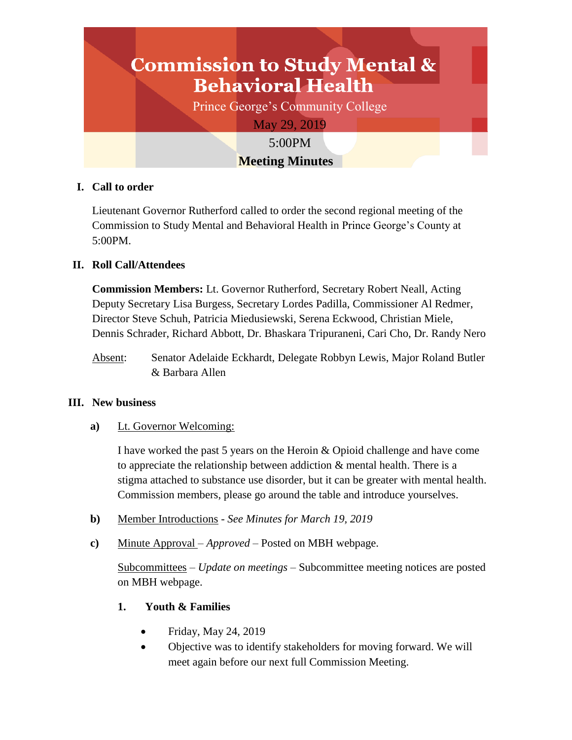# **Commission to Study Mental & Behavioral Health** Prince George's Community College May 29, 2019 5:00PM **Meeting Minutes**

## **I. Call to order**

Lieutenant Governor Rutherford called to order the second regional meeting of the Commission to Study Mental and Behavioral Health in Prince George's County at 5:00PM.

## **II. Roll Call/Attendees**

**Commission Members:** Lt. Governor Rutherford, Secretary Robert Neall, Acting Deputy Secretary Lisa Burgess, Secretary Lordes Padilla, Commissioner Al Redmer, Director Steve Schuh, Patricia Miedusiewski, Serena Eckwood, Christian Miele, Dennis Schrader, Richard Abbott, Dr. Bhaskara Tripuraneni, Cari Cho, Dr. Randy Nero

Absent: Senator Adelaide Eckhardt, Delegate Robbyn Lewis, Major Roland Butler & Barbara Allen

## **III. New business**

**a)** Lt. Governor Welcoming:

I have worked the past 5 years on the Heroin & Opioid challenge and have come to appreciate the relationship between addiction & mental health. There is a stigma attached to substance use disorder, but it can be greater with mental health. Commission members, please go around the table and introduce yourselves.

- **b)** Member Introductions *See Minutes for March 19, 2019*
- **c)** Minute Approval *Approved* Posted on MBH webpage.

Subcommittees *– Update on meetings* – Subcommittee meeting notices are posted on MBH webpage.

## **1. Youth & Families**

- Friday, May 24, 2019
- Objective was to identify stakeholders for moving forward. We will meet again before our next full Commission Meeting.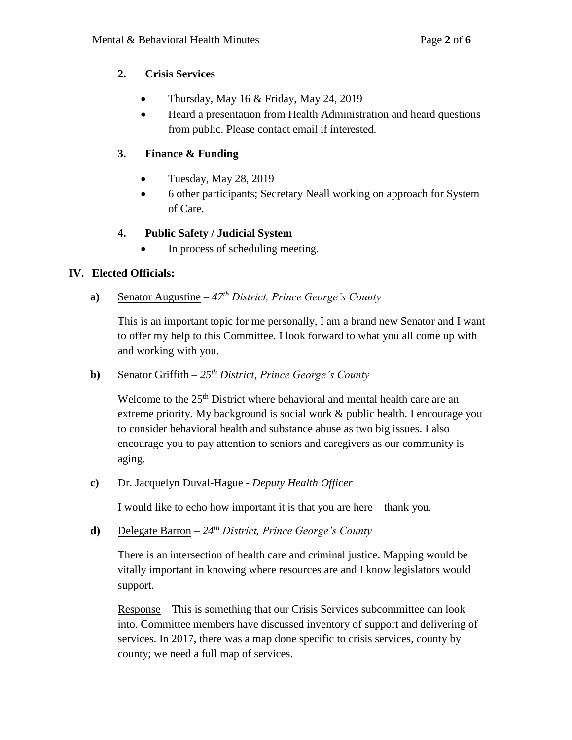## **2. Crisis Services**

- Thursday, May 16 & Friday, May 24, 2019
- Heard a presentation from Health Administration and heard questions from public. Please contact email if interested.

# **3. Finance & Funding**

- Tuesday, May 28, 2019
- 6 other participants; Secretary Neall working on approach for System of Care.

## **4. Public Safety / Judicial System**

In process of scheduling meeting.

# **IV. Elected Officials:**

**a)** Senator Augustine – *47th District, Prince George's County*

This is an important topic for me personally, I am a brand new Senator and I want to offer my help to this Committee. I look forward to what you all come up with and working with you.

**b)** Senator Griffith – *25th District, Prince George's County*

Welcome to the 25<sup>th</sup> District where behavioral and mental health care are an extreme priority. My background is social work & public health. I encourage you to consider behavioral health and substance abuse as two big issues. I also encourage you to pay attention to seniors and caregivers as our community is aging.

**c)** Dr. Jacquelyn Duval-Hague - *Deputy Health Officer*

I would like to echo how important it is that you are here – thank you.

**d)** Delegate Barron – *24th District, Prince George's County*

There is an intersection of health care and criminal justice. Mapping would be vitally important in knowing where resources are and I know legislators would support.

Response – This is something that our Crisis Services subcommittee can look into. Committee members have discussed inventory of support and delivering of services. In 2017, there was a map done specific to crisis services, county by county; we need a full map of services.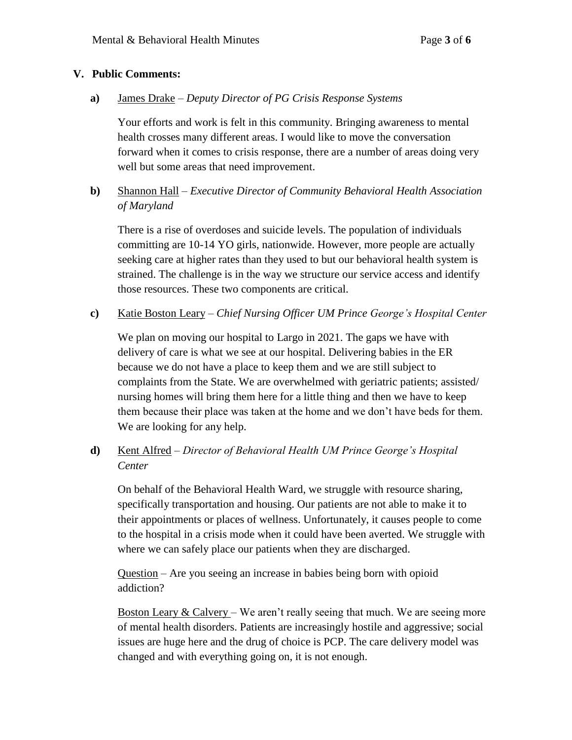#### **V. Public Comments:**

**a)** James Drake – *Deputy Director of PG Crisis Response Systems*

Your efforts and work is felt in this community. Bringing awareness to mental health crosses many different areas. I would like to move the conversation forward when it comes to crisis response, there are a number of areas doing very well but some areas that need improvement.

**b)** Shannon Hall – *Executive Director of Community Behavioral Health Association of Maryland*

There is a rise of overdoses and suicide levels. The population of individuals committing are 10-14 YO girls, nationwide. However, more people are actually seeking care at higher rates than they used to but our behavioral health system is strained. The challenge is in the way we structure our service access and identify those resources. These two components are critical.

**c)** Katie Boston Leary – *Chief Nursing Officer UM Prince George's Hospital Center* 

We plan on moving our hospital to Largo in 2021. The gaps we have with delivery of care is what we see at our hospital. Delivering babies in the ER because we do not have a place to keep them and we are still subject to complaints from the State. We are overwhelmed with geriatric patients; assisted/ nursing homes will bring them here for a little thing and then we have to keep them because their place was taken at the home and we don't have beds for them. We are looking for any help.

# **d)** Kent Alfred – *Director of Behavioral Health UM Prince George's Hospital Center*

On behalf of the Behavioral Health Ward, we struggle with resource sharing, specifically transportation and housing. Our patients are not able to make it to their appointments or places of wellness. Unfortunately, it causes people to come to the hospital in a crisis mode when it could have been averted. We struggle with where we can safely place our patients when they are discharged.

Question – Are you seeing an increase in babies being born with opioid addiction?

Boston Leary & Calvery – We aren't really seeing that much. We are seeing more of mental health disorders. Patients are increasingly hostile and aggressive; social issues are huge here and the drug of choice is PCP. The care delivery model was changed and with everything going on, it is not enough.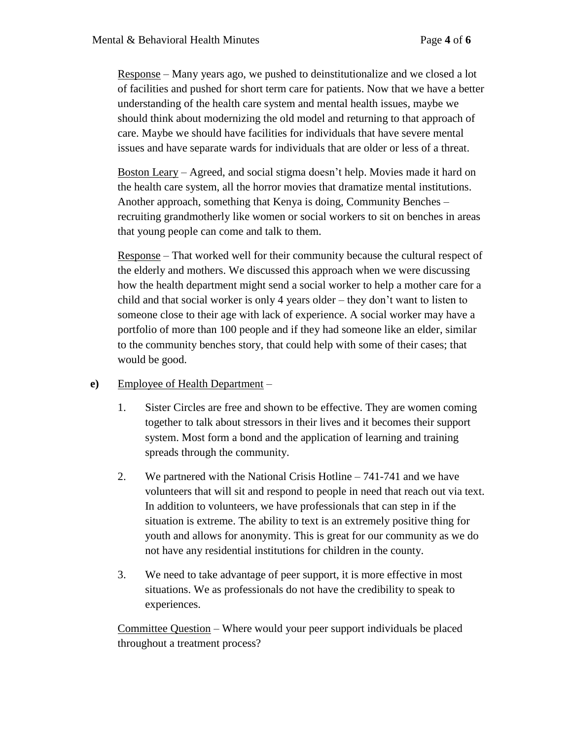Response – Many years ago, we pushed to deinstitutionalize and we closed a lot of facilities and pushed for short term care for patients. Now that we have a better understanding of the health care system and mental health issues, maybe we should think about modernizing the old model and returning to that approach of care. Maybe we should have facilities for individuals that have severe mental issues and have separate wards for individuals that are older or less of a threat.

Boston Leary – Agreed, and social stigma doesn't help. Movies made it hard on the health care system, all the horror movies that dramatize mental institutions. Another approach, something that Kenya is doing, Community Benches – recruiting grandmotherly like women or social workers to sit on benches in areas that young people can come and talk to them.

Response – That worked well for their community because the cultural respect of the elderly and mothers. We discussed this approach when we were discussing how the health department might send a social worker to help a mother care for a child and that social worker is only 4 years older – they don't want to listen to someone close to their age with lack of experience. A social worker may have a portfolio of more than 100 people and if they had someone like an elder, similar to the community benches story, that could help with some of their cases; that would be good.

## **e)** Employee of Health Department –

- 1. Sister Circles are free and shown to be effective. They are women coming together to talk about stressors in their lives and it becomes their support system. Most form a bond and the application of learning and training spreads through the community.
- 2. We partnered with the National Crisis Hotline 741-741 and we have volunteers that will sit and respond to people in need that reach out via text. In addition to volunteers, we have professionals that can step in if the situation is extreme. The ability to text is an extremely positive thing for youth and allows for anonymity. This is great for our community as we do not have any residential institutions for children in the county.
- 3. We need to take advantage of peer support, it is more effective in most situations. We as professionals do not have the credibility to speak to experiences.

Committee Question – Where would your peer support individuals be placed throughout a treatment process?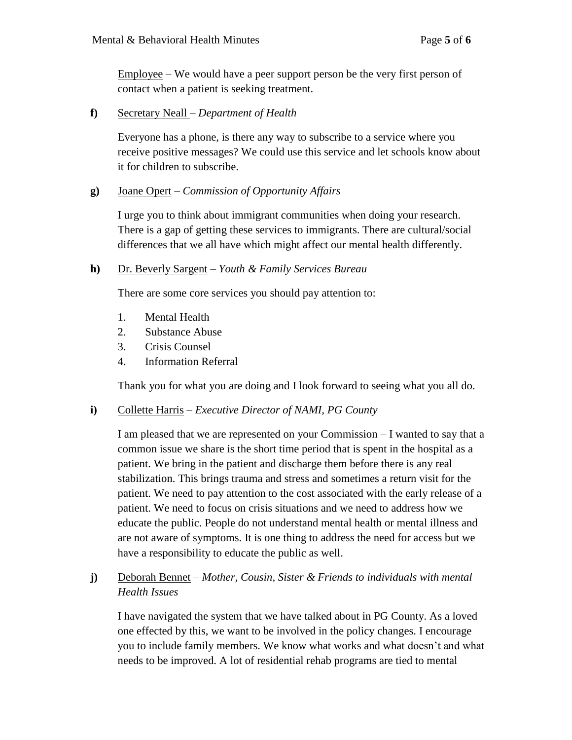Employee – We would have a peer support person be the very first person of contact when a patient is seeking treatment.

**f)** Secretary Neall *– Department of Health*

Everyone has a phone, is there any way to subscribe to a service where you receive positive messages? We could use this service and let schools know about it for children to subscribe.

#### **g)** Joane Opert – *Commission of Opportunity Affairs*

I urge you to think about immigrant communities when doing your research. There is a gap of getting these services to immigrants. There are cultural/social differences that we all have which might affect our mental health differently.

#### **h)** Dr. Beverly Sargent – *Youth & Family Services Bureau*

There are some core services you should pay attention to:

- 1. Mental Health
- 2. Substance Abuse
- 3. Crisis Counsel
- 4. Information Referral

Thank you for what you are doing and I look forward to seeing what you all do.

## **i)** Collette Harris – *Executive Director of NAMI, PG County*

I am pleased that we are represented on your Commission – I wanted to say that a common issue we share is the short time period that is spent in the hospital as a patient. We bring in the patient and discharge them before there is any real stabilization. This brings trauma and stress and sometimes a return visit for the patient. We need to pay attention to the cost associated with the early release of a patient. We need to focus on crisis situations and we need to address how we educate the public. People do not understand mental health or mental illness and are not aware of symptoms. It is one thing to address the need for access but we have a responsibility to educate the public as well.

# **j)** Deborah Bennet – *Mother, Cousin, Sister & Friends to individuals with mental Health Issues*

I have navigated the system that we have talked about in PG County. As a loved one effected by this, we want to be involved in the policy changes. I encourage you to include family members. We know what works and what doesn't and what needs to be improved. A lot of residential rehab programs are tied to mental